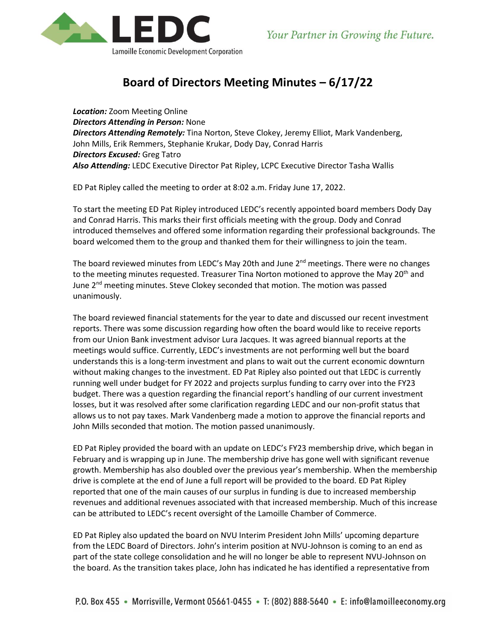

## **Board of Directors Meeting Minutes – 6/17/22**

*Location:* Zoom Meeting Online *Directors Attending in Person:* None *Directors Attending Remotely:* Tina Norton, Steve Clokey, Jeremy Elliot, Mark Vandenberg, John Mills, Erik Remmers, Stephanie Krukar, Dody Day, Conrad Harris *Directors Excused:* Greg Tatro *Also Attending:* LEDC Executive Director Pat Ripley, LCPC Executive Director Tasha Wallis

ED Pat Ripley called the meeting to order at 8:02 a.m. Friday June 17, 2022.

To start the meeting ED Pat Ripley introduced LEDC's recently appointed board members Dody Day and Conrad Harris. This marks their first officials meeting with the group. Dody and Conrad introduced themselves and offered some information regarding their professional backgrounds. The board welcomed them to the group and thanked them for their willingness to join the team.

The board reviewed minutes from LEDC's May 20th and June  $2<sup>nd</sup>$  meetings. There were no changes to the meeting minutes requested. Treasurer Tina Norton motioned to approve the May 20<sup>th</sup> and June 2<sup>nd</sup> meeting minutes. Steve Clokey seconded that motion. The motion was passed unanimously.

The board reviewed financial statements for the year to date and discussed our recent investment reports. There was some discussion regarding how often the board would like to receive reports from our Union Bank investment advisor Lura Jacques. It was agreed biannual reports at the meetings would suffice. Currently, LEDC's investments are not performing well but the board understands this is a long-term investment and plans to wait out the current economic downturn without making changes to the investment. ED Pat Ripley also pointed out that LEDC is currently running well under budget for FY 2022 and projects surplus funding to carry over into the FY23 budget. There was a question regarding the financial report's handling of our current investment losses, but it was resolved after some clarification regarding LEDC and our non-profit status that allows us to not pay taxes. Mark Vandenberg made a motion to approve the financial reports and John Mills seconded that motion. The motion passed unanimously.

ED Pat Ripley provided the board with an update on LEDC's FY23 membership drive, which began in February and is wrapping up in June. The membership drive has gone well with significant revenue growth. Membership has also doubled over the previous year's membership. When the membership drive is complete at the end of June a full report will be provided to the board. ED Pat Ripley reported that one of the main causes of our surplus in funding is due to increased membership revenues and additional revenues associated with that increased membership. Much of this increase can be attributed to LEDC's recent oversight of the Lamoille Chamber of Commerce.

ED Pat Ripley also updated the board on NVU Interim President John Mills' upcoming departure from the LEDC Board of Directors. John's interim position at NVU-Johnson is coming to an end as part of the state college consolidation and he will no longer be able to represent NVU-Johnson on the board. As the transition takes place, John has indicated he has identified a representative from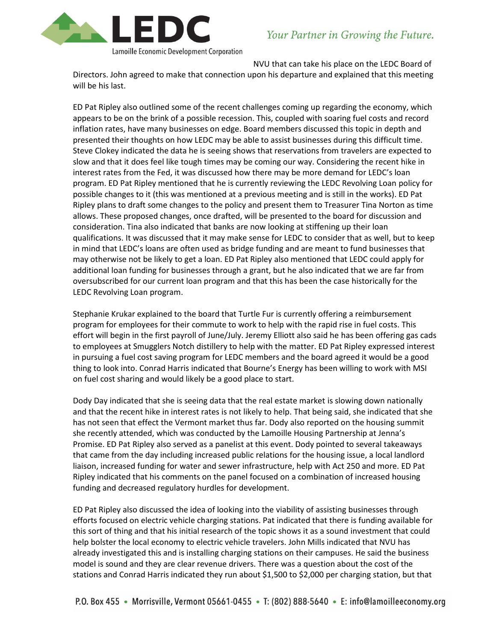

Lamoille Economic Development Corporation

NVU that can take his place on the LEDC Board of

Directors. John agreed to make that connection upon his departure and explained that this meeting will be his last.

ED Pat Ripley also outlined some of the recent challenges coming up regarding the economy, which appears to be on the brink of a possible recession. This, coupled with soaring fuel costs and record inflation rates, have many businesses on edge. Board members discussed this topic in depth and presented their thoughts on how LEDC may be able to assist businesses during this difficult time. Steve Clokey indicated the data he is seeing shows that reservations from travelers are expected to slow and that it does feel like tough times may be coming our way. Considering the recent hike in interest rates from the Fed, it was discussed how there may be more demand for LEDC's loan program. ED Pat Ripley mentioned that he is currently reviewing the LEDC Revolving Loan policy for possible changes to it (this was mentioned at a previous meeting and is still in the works). ED Pat Ripley plans to draft some changes to the policy and present them to Treasurer Tina Norton as time allows. These proposed changes, once drafted, will be presented to the board for discussion and consideration. Tina also indicated that banks are now looking at stiffening up their loan qualifications. It was discussed that it may make sense for LEDC to consider that as well, but to keep in mind that LEDC's loans are often used as bridge funding and are meant to fund businesses that may otherwise not be likely to get a loan. ED Pat Ripley also mentioned that LEDC could apply for additional loan funding for businesses through a grant, but he also indicated that we are far from oversubscribed for our current loan program and that this has been the case historically for the LEDC Revolving Loan program.

Stephanie Krukar explained to the board that Turtle Fur is currently offering a reimbursement program for employees for their commute to work to help with the rapid rise in fuel costs. This effort will begin in the first payroll of June/July. Jeremy Elliott also said he has been offering gas cads to employees at Smugglers Notch distillery to help with the matter. ED Pat Ripley expressed interest in pursuing a fuel cost saving program for LEDC members and the board agreed it would be a good thing to look into. Conrad Harris indicated that Bourne's Energy has been willing to work with MSI on fuel cost sharing and would likely be a good place to start.

Dody Day indicated that she is seeing data that the real estate market is slowing down nationally and that the recent hike in interest rates is not likely to help. That being said, she indicated that she has not seen that effect the Vermont market thus far. Dody also reported on the housing summit she recently attended, which was conducted by the Lamoille Housing Partnership at Jenna's Promise. ED Pat Ripley also served as a panelist at this event. Dody pointed to several takeaways that came from the day including increased public relations for the housing issue, a local landlord liaison, increased funding for water and sewer infrastructure, help with Act 250 and more. ED Pat Ripley indicated that his comments on the panel focused on a combination of increased housing funding and decreased regulatory hurdles for development.

ED Pat Ripley also discussed the idea of looking into the viability of assisting businesses through efforts focused on electric vehicle charging stations. Pat indicated that there is funding available for this sort of thing and that his initial research of the topic shows it as a sound investment that could help bolster the local economy to electric vehicle travelers. John Mills indicated that NVU has already investigated this and is installing charging stations on their campuses. He said the business model is sound and they are clear revenue drivers. There was a question about the cost of the stations and Conrad Harris indicated they run about \$1,500 to \$2,000 per charging station, but that